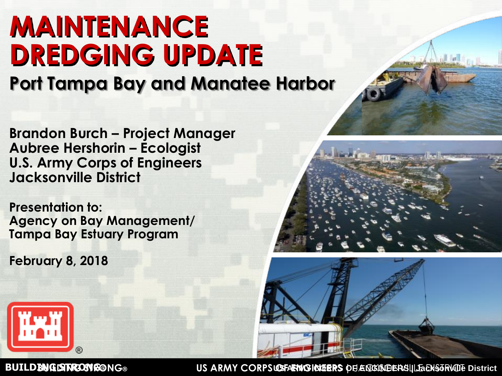# **MAINTENANCE DREDGING UPDATE**

**Port Tampa Bay and Manatee Harbor**

**Brandon Burch – Project Manager Aubree Hershorin – Ecologist U.S. Army Corps of Engineers Jacksonville District**

**Presentation to: Agency on Bay Management/ Tampa Bay Estuary Program**

**February 8, 2018**



**BUILDENG STRONG®** NG® US ARMY CORPS **OSFAENVGICIDERS** OF ENGINEERS | LaCKSORVILLE District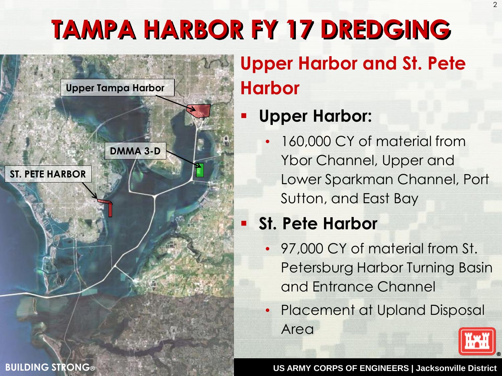# **TAMPA HARBOR FY 17 DREDGING**



# **Upper Harbor and St. Pete Harbor**

### **Upper Harbor:**

160,000 CY of material from Ybor Channel, Upper and Lower Sparkman Channel, Port Sutton, and East Bay

## **St. Pete Harbor**

- 97,000 CY of material from St. Petersburg Harbor Turning Basin and Entrance Channel
- Placement at Upland Disposal Area



 $\mathfrak{D}$ 

**US ARMY CORPS OF ENGINEERS | Jacksonville District**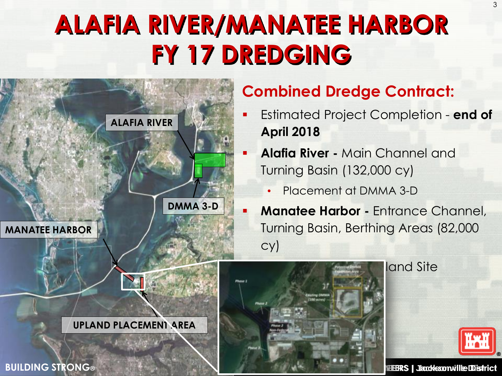# **ALAFIA RIVER/MANATEE HARBOR FY 17 DREDGING**



### **Combined Dredge Contract:**

- Estimated Project Completion **end of April 2018**
- **Alafia River -** Main Channel and Turning Basin (132,000 cy)
	- Placement at DMMA 3-D
	- **Manatee Harbor -** Entrance Channel, Turning Basin, Berthing Areas (82,000 cy)

land Site



### **BUILDING STRONG® US ARMY CORPS OF ENGINEERS | Jacksonville District**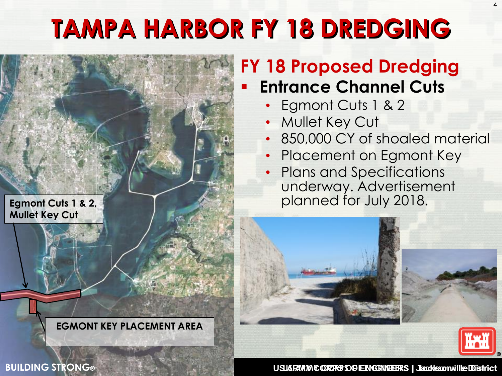# **TAMPA HARBOR FY 18 DREDGING**



## **FY 18 Proposed Dredging Entrance Channel Cuts**

- Egmont Cuts 1 & 2
- Mullet Key Cut
- 850,000 CY of shoaled material
- Placement on Egmont Key
- Plans and Specifications underway. Advertisement planned for July 2018.







**BUILDING STRONG**<sup>®</sup>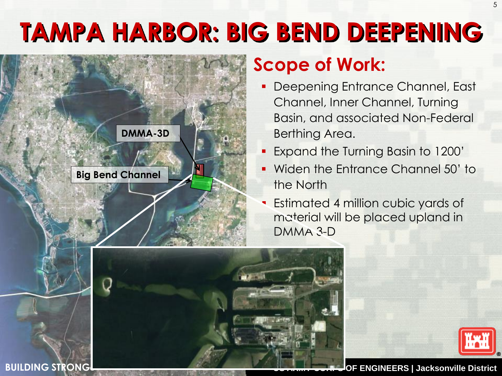# **TAMPA HARBOR: BIG BEND DEEPENING**



**BUILDING STRONG®**

## **Scope of Work:**

- Deepening Entrance Channel, East Channel, Inner Channel, Turning Basin, and associated Non-Federal Berthing Area.
- Expand the Turning Basin to 1200'
- Widen the Entrance Channel 50' to the North
- Estimated 4 million cubic yards of material will be placed upland in DMMA 3-D



5

**BUILDING STRONGERS | Jacksonville District**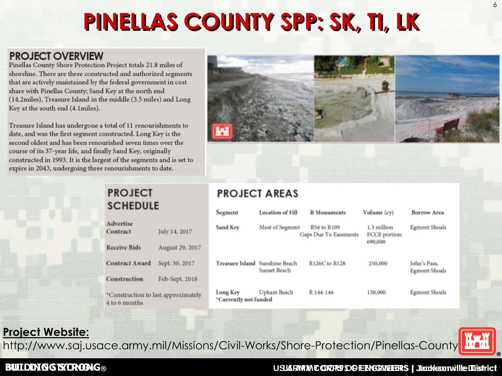# **PINELLAS COUNTY SPP: SK, TI, LK**



| Segment                           | <b>Location of Fill</b>                        | <b>R</b> Monuments                   | Volume (cy)                             | <b>Borrow Area</b>                   |
|-----------------------------------|------------------------------------------------|--------------------------------------|-----------------------------------------|--------------------------------------|
| Sand Key                          | Most of Segment                                | R56 to R109<br>Gaps Due To Easements | 1.3 million<br>FCCE portion:<br>690,000 | <b>Egmont Shoals</b>                 |
|                                   | Treasure Island Sunshine Beach<br>Sunset Beach | R126C to R128                        | 250,000                                 | John's Pass,<br><b>Egmont Shoals</b> |
| Long Key<br>*Currently not funded | Upham Beach                                    | R 144-146                            | 150,000                                 | <b>Egmont Shoals</b>                 |

### **Project Website:**

http://www.saj.usace.army.mil/Missions/Civil-Works/Shore-Protection/Pinellas-County/

### **BUILDING STRONG**<sup>®</sup>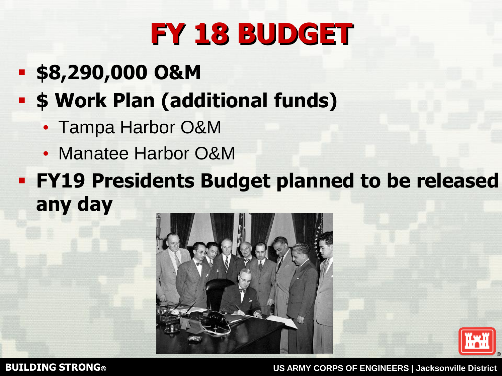# **FY 18 BUDGET**

- **\$8,290,000 O&M**
- **\$ Work Plan (additional funds)**
	- Tampa Harbor O&M
	- Manatee Harbor O&M
- **FY19 Presidents Budget planned to be released any day**





**BUILDING STRONG® US ARMY CORPS OF ENGINEERS | Jacksonville District**